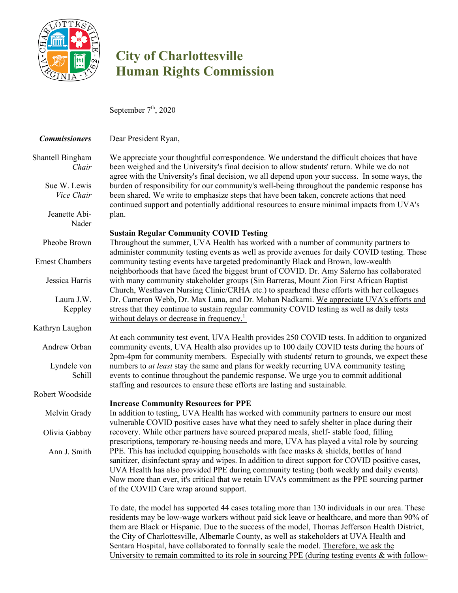

## **City of Charlottesville Human Rights Commission**

September  $7<sup>th</sup>$ , 2020

| <b>Commissioners</b> | Dear President Ryan, |
|----------------------|----------------------|
|                      |                      |

| Shantell Bingham |
|------------------|
| Chair            |

Sue W. Lewis *Vice Chair*

Jeanette Abi-

Nader

Pheobe Brown

Ernest Chambers

Jessica Harris

Laura J.W. Keppley

Kathryn Laughon

Andrew Orban

Lyndele von Schill

Robert Woodside

Melvin Grady

Olivia Gabbay

Ann J. Smith

We appreciate your thoughtful correspondence. We understand the difficult choices that have been weighed and the University's final decision to allow students' return. While we do not agree with the University's final decision, we all depend upon your success. In some ways, the burden of responsibility for our community's well-being throughout the pandemic response has been shared. We write to emphasize steps that have been taken, concrete actions that need continued support and potentially additional resources to ensure minimal impacts from UVA's plan.

## **Sustain Regular Community COVID Testing**

Throughout the summer, UVA Health has worked with a number of community partners to administer community testing events as well as provide avenues for daily COVID testing. These community testing events have targeted predominantly Black and Brown, low-wealth neighborhoods that have faced the biggest brunt of COVID. Dr. Amy Salerno has collaborated with many community stakeholder groups (Sin Barreras, Mount Zion First African Baptist Church, Westhaven Nursing Clinic/CRHA etc.) to spearhead these efforts with her colleagues Dr. Cameron Webb, Dr. Max Luna, and Dr. Mohan Nadkarni. We appreciate UVA's efforts and stress that they continue to sustain regular community COVID testing as well as daily tests without delays or decrease in frequency.<sup>1</sup>

At each community test event, UVA Health provides 250 COVID tests. In addition to organized community events, UVA Health also provides up to 100 daily COVID tests during the hours of 2pm-4pm for community members. Especially with students' return to grounds, we expect these numbers to *at least* stay the same and plans for weekly recurring UVA community testing events to continue throughout the pandemic response. We urge you to commit additional staffing and resources to ensure these efforts are lasting and sustainable.

## **Increase Community Resources for PPE**

In addition to testing, UVA Health has worked with community partners to ensure our most vulnerable COVID positive cases have what they need to safely shelter in place during their recovery. While other partners have sourced prepared meals, shelf- stable food, filling prescriptions, temporary re-housing needs and more, UVA has played a vital role by sourcing PPE. This has included equipping households with face masks & shields, bottles of hand sanitizer, disinfectant spray and wipes. In addition to direct support for COVID positive cases, UVA Health has also provided PPE during community testing (both weekly and daily events). Now more than ever, it's critical that we retain UVA's commitment as the PPE sourcing partner of the COVID Care wrap around support.

To date, the model has supported 44 cases totaling more than 130 individuals in our area. These residents may be low-wage workers without paid sick leave or healthcare, and more than 90% of them are Black or Hispanic. Due to the success of the model, Thomas Jefferson Health District, the City of Charlottesville, Albemarle County, as well as stakeholders at UVA Health and Sentara Hospital, have collaborated to formally scale the model. Therefore, we ask the University to remain committed to its role in sourcing PPE (during testing events & with follow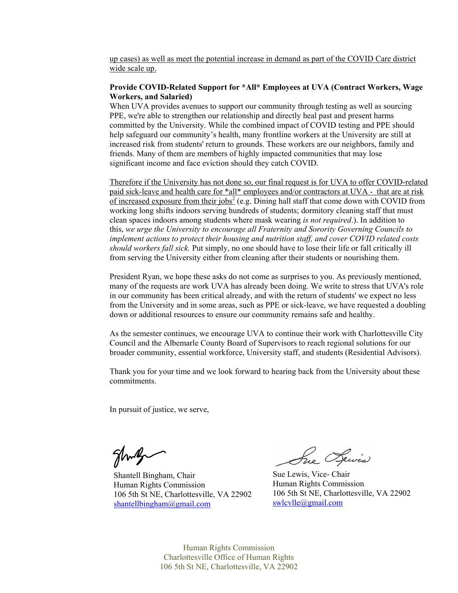up cases) as well as meet the potential increase in demand as part of the COVID Care district wide scale up.

## **Provide COVID-Related Support for \*All\* Employees at UVA (Contract Workers, Wage Workers, and Salaried)**

When UVA provides avenues to support our community through testing as well as sourcing PPE, we're able to strengthen our relationship and directly heal past and present harms committed by the University. While the combined impact of COVID testing and PPE should help safeguard our community's health, many frontline workers at the University are still at increased risk from students' return to grounds. These workers are our neighbors, family and friends. Many of them are members of highly impacted communities that may lose significant income and face eviction should they catch COVID.

Therefore if the University has not done so, our final request is for UVA to offer COVID-related paid sick-leave and health care for \*all\* employees and/or contractors at UVA - that are at risk of increased exposure from their jobs<sup>2</sup> (e.g. Dining hall staff that come down with COVID from working long shifts indoors serving hundreds of students; dormitory cleaning staff that must clean spaces indoors among students where mask wearing *is not required*.). In addition to this, *we urge the University to encourage all Fraternity and Sorority Governing Councils to implement actions to protect their housing and nutrition staff, and cover COVID related costs should workers fall sick.* Put simply, no one should have to lose their life or fall critically ill from serving the University either from cleaning after their students or nourishing them.

President Ryan, we hope these asks do not come as surprises to you. As previously mentioned, many of the requests are work UVA has already been doing. We write to stress that UVA's role in our community has been critical already, and with the return of students' we expect no less from the University and in some areas, such as PPE or sick-leave, we have requested a doubling down or additional resources to ensure our community remains safe and healthy.

As the semester continues, we encourage UVA to continue their work with Charlottesville City Council and the Albemarle County Board of Supervisors to reach regional solutions for our broader community, essential workforce, University staff, and students (Residential Advisors).

Thank you for your time and we look forward to hearing back from the University about these commitments.

In pursuit of justice, we serve,

glung

Shantell Bingham, Chair Human Rights Commission 106 5th St NE, Charlottesville, VA 22902 shantellbingham@gmail.com

Sue Dewis

Sue Lewis, Vice- Chair Human Rights Commission 106 5th St NE, Charlottesville, VA 22902 swlcvlle@gmail.com

Human Rights Commission Charlottesville Office of Human Rights 106 5th St NE, Charlottesville, VA 22902